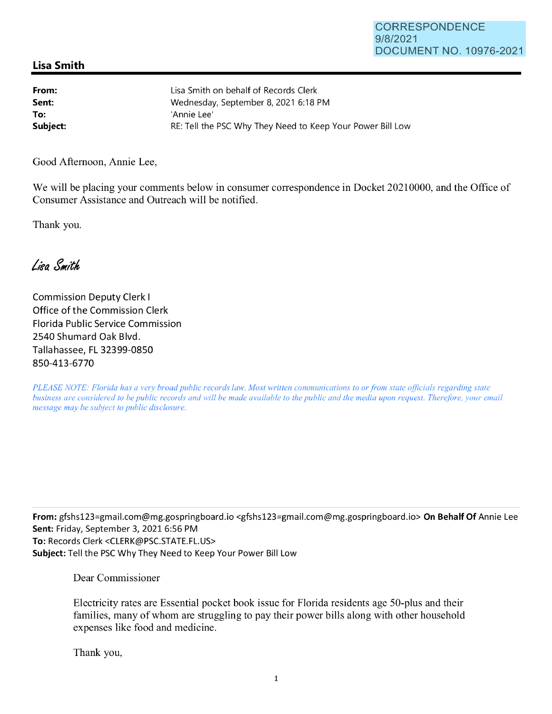## **Lisa Smith**

| From:    | Lisa Smith on behalf of Records Clerk                      |
|----------|------------------------------------------------------------|
| Sent:    | Wednesday, September 8, 2021 6:18 PM                       |
| To:      | 'Annie Lee'                                                |
| Subject: | RE: Tell the PSC Why They Need to Keep Your Power Bill Low |

Good Afternoon, Annie Lee,

We will be placing your comments below in consumer correspondence in Docket 20210000, and the Office of Consumer Assistance and Outreach will be notified.

Thank you.

Lisa Smith

Commission Deputy Clerk I Office of the Commission Clerk Florida Public Service Commission 2540 Shumard Oak Blvd. Tallahassee, FL 32399-0850 850-413-6770

*PLEASE NOTE: Florida has a very broad public records law. Most written communications to or from state officials regarding state business are considered to be public records and will be made available to the public and the media upon request. Therefore, your email message may be subject to public disclosure.* 

**From:** gfshs123=gmail.com@mg.gospringboard.io <gfshs123=gmail.com@mg.gospringboard.io> **On Behalf Of** Annie Lee **Sent:** Friday, September 3, 2021 6:56 PM **To:** Records Clerk <CLERK@PSC.STATE.FL.US> **Subject:** Tell the PSC Why They Need to Keep Your Power Bill Low

Dear Commissioner

Electricity rates are Essential pocket book issue for Florida residents age 50-plus and their families, many of whom are struggling to pay their power bills along with other household expenses like food and medicine.

Thank you,